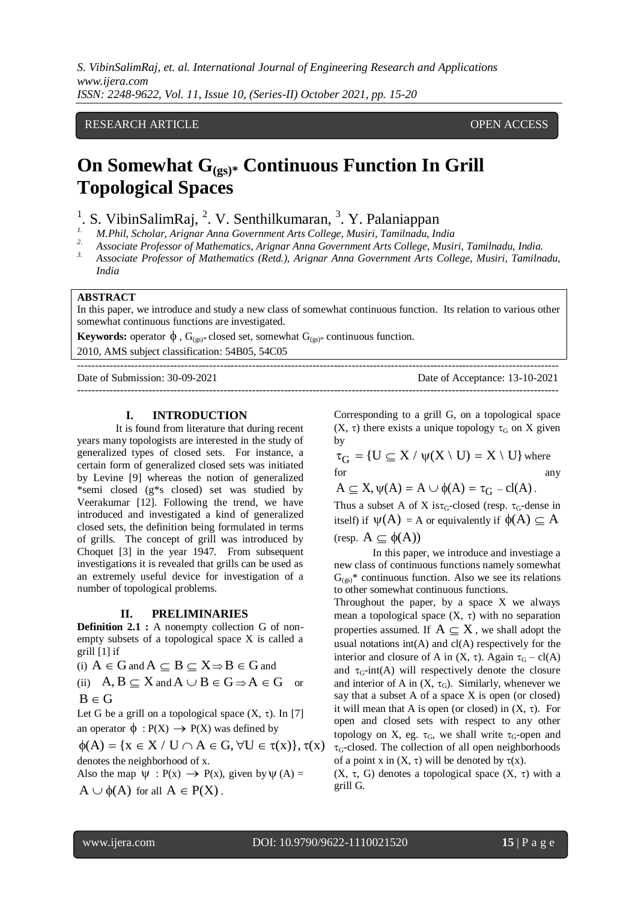*S. VibinSalimRaj, et. al. International Journal of Engineering Research and Applications www.ijera.com ISSN: 2248-9622, Vol. 11, Issue 10, (Series-II) October 2021, pp. 15-20*

## RESEARCH ARTICLE **CONTRACT ARTICLE** AND A SERVICE OPEN ACCESS

# **On Somewhat G(gs)\* Continuous Function In Grill Topological Spaces**

- <sup>1</sup>. S. VibinSalimRaj, <sup>2</sup>. V. Senthilkumaran, <sup>3</sup>. Y. Palaniappan
- *1. M.Phil, Scholar, Arignar Anna Government Arts College, Musiri, Tamilnadu, India*
- *2. Associate Professor of Mathematics, Arignar Anna Government Arts College, Musiri, Tamilnadu, India.*
- *3. Associate Professor of Mathematics (Retd.), Arignar Anna Government Arts College, Musiri, Tamilnadu, India*

#### **ABSTRACT**

In this paper, we introduce and study a new class of somewhat continuous function. Its relation to various other somewhat continuous functions are investigated.

**Keywords:** operator  $\phi$ ,  $G_{(gs)^*}$  closed set, somewhat  $G_{(gs)^*}$  continuous function.

2010, AMS subject classification: 54B05, 54C05

--------------------------------------------------------------------------------------------------------------------------------------- Date of Submission: 30-09-2021 Date of Acceptance: 13-10-2021 ---------------------------------------------------------------------------------------------------------------------------------------

## **I. INTRODUCTION**

It is found from literature that during recent years many topologists are interested in the study of generalized types of closed sets. For instance, a certain form of generalized closed sets was initiated by Levine [9] whereas the notion of generalized \*semi closed (g\*s closed) set was studied by Veerakumar [12]. Following the trend, we have introduced and investigated a kind of generalized closed sets, the definition being formulated in terms of grills. The concept of grill was introduced by Choquet [3] in the year 1947. From subsequent investigations it is revealed that grills can be used as an extremely useful device for investigation of a number of topological problems.

#### **II. PRELIMINARIES**

**Definition 2.1 :** A nonempty collection G of nonempty subsets of a topological space X is called a grill [1] if

(i)  $A \in G$  and  $A \subseteq B \subseteq X \Rightarrow B \in G$  and

(ii)  $A, B \subseteq X$  and  $A \cup B \in G \Rightarrow A \in G$ or  $B \in G$ 

Let G be a grill on a topological space  $(X, \tau)$ . In [7] an operator  $\phi$ :  $P(X) \rightarrow P(X)$  was defined by

 $\phi(A) = \{x \in X / U \cap A \in G, \forall U \in \tau(x)\}, \tau(x)$ denotes the neighborhood of x.

Also the map  $\Psi$  : P(x)  $\rightarrow$  P(x), given by  $\Psi$  (A) =  $A \cup \phi(A)$  for all  $A \in P(X)$ .

Corresponding to a grill G, on a topological space  $(X, \tau)$  there exists a unique topology  $\tau_G$  on X given by

by<br>  $\tau_G = \{U \subseteq X \mid \psi(X \setminus U) = X \setminus U\}$  where for any any  $A \subseteq X, \psi(A) = A \cup \phi(A) = \tau_G - \text{cl}(A)$ . Thus a subset A of X is  $\tau_{G}$ -closed (resp.  $\tau_{G}$ -dense in

itself) if  $\psi(A) = A$  or equivalently if  $\phi(A) \subseteq A$  $(\text{resp. } A \subseteq \phi(A))$ 

In this paper, we introduce and investiage a new class of continuous functions namely somewhat  $G_{(gs)}^*$  continuous function. Also we see its relations to other somewhat continuous functions.

Throughout the paper, by a space X we always mean a topological space  $(X, \tau)$  with no separation properties assumed. If  $A \subseteq X$ , we shall adopt the usual notations  $int(A)$  and  $cl(A)$  respectively for the interior and closure of A in  $(X, \tau)$ . Again  $\tau_G - cl(A)$ and  $\tau_{G}$ -int(A) will respectively denote the closure and interior of A in  $(X, \tau_G)$ . Similarly, whenever we say that a subset A of a space X is open (or closed) it will mean that A is open (or closed) in  $(X, \tau)$ . For open and closed sets with respect to any other topology on X, eg.  $\tau_{\rm G}$ , we shall write  $\tau_{\rm G}$ -open and  $\tau$ <sub>G</sub>-closed. The collection of all open neighborhoods of a point x in  $(X, \tau)$  will be denoted by  $\tau(x)$ .

(X,  $\tau$ , G) denotes a topological space (X,  $\tau$ ) with a grill G.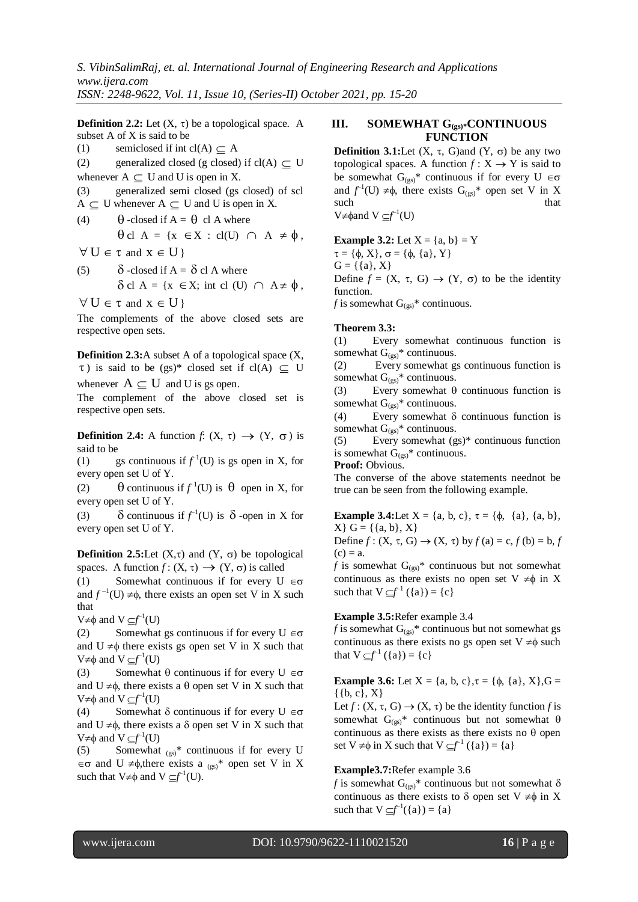**Definition 2.2:** Let  $(X, \tau)$  be a topological space. A subset A of X is said to be

(1) semiclosed if int cl(A)  $\subseteq$  A

(2) generalized closed (g closed) if  $cl(A) \subseteq U$ whenever  $A \subseteq U$  and U is open in X.

(3) generalized semi closed (gs closed) of scl  $A \subseteq U$  whenever  $A \subseteq U$  and U is open in X.

(4)  $\theta$ -closed if  $A = \theta$  cl A where cl A = {x X : cl(U) A ,

 $\forall U \in \tau$  and  $x \in U$  }

(5)  $\delta$ -closed if  $A = \delta$  cl A where cl A = {x X; int cl (U) A ,

 $\forall U \in \tau$  and  $x \in U$  }

The complements of the above closed sets are respective open sets.

**Definition 2.3:**A subset A of a topological space (X,  $\tau$ ) is said to be (gs)\* closed set if cl(A)  $\subseteq U$ 

whenever  $A \subseteq U$  and U is gs open.

The complement of the above closed set is respective open sets.

**Definition 2.4:** A function *f*:  $(X, \tau) \rightarrow (Y, \sigma)$  is said to be

(1) gs continuous if  $f<sup>1</sup>(U)$  is gs open in X, for every open set U of Y.

(2)  $\Theta$  continuous if  $f^{\text{-}1}(U)$  is  $\Theta$  open in X, for every open set U of Y.

(3)  $\delta$  continuous if  $f^{-1}(U)$  is  $\delta$  -open in X for every open set U of Y.

**Definition 2.5:Let**  $(X, \tau)$  and  $(Y, \sigma)$  be topological spaces. A function  $f: (X, \tau) \to (Y, \sigma)$  is called

(1) Somewhat continuous if for every  $U \in \sigma$ and  $f^{-1}(U) \neq \phi$ , there exists an open set V in X such that

 $V \neq \phi$  and  $V \subseteq f^{-1}(U)$ 

(2) Somewhat gs continuous if for every  $U \in \sigma$ and  $U \neq \phi$  there exists gs open set V in X such that  $V \neq \phi$  and  $V \subseteq f^{-1}(U)$ 

(3) Somewhat  $\theta$  continuous if for every  $U \in \sigma$ and  $U \neq \phi$ , there exists a  $\theta$  open set V in X such that  $V \neq \phi$  and  $V \subseteq f^{-1}(U)$ 

(4) Somewhat  $\delta$  continuous if for every  $U \in \sigma$ and  $U \neq \phi$ , there exists a  $\delta$  open set V in X such that  $V \neq \phi$  and  $V \subseteq f^{-1}(U)$ 

(5) Somewhat  $_{(gs)}^*$  continuous if for every U  $\in$   $\sigma$  and U  $\neq$   $\phi$ , there exists a <sub>(gs)</sub>\* open set V in X such that  $V \neq \phi$  and  $V \subseteq f^{-1}(U)$ .

# **III. SOMEWHAT G(gs)\*CONTINUOUS FUNCTION**

**Definition 3.1:**Let  $(X, \tau, G)$  and  $(Y, \sigma)$  be any two topological spaces. A function  $f: X \to Y$  is said to be somewhat  $G_{(gs)}^*$  continuous if for every  $U \in \sigma$ and  $f^{-1}(U) \neq \phi$ , there exists  $G_{(gs)}^*$  open set V in X such that the such that that  $\mathbf{t}$  that that  $\mathbf{t}$  $V \neq \phi$ and  $V \subseteq f^{-1}(U)$ 

**Example 3.2:** Let  $X = \{a, b\} = Y$  $\tau = {\phi, X}, \sigma = {\phi, {a}, Y}$  $G = \{\{a\}, X\}$ Define  $f = (X, \tau, G) \rightarrow (Y, \sigma)$  to be the identity function.

*f* is somewhat  $G_{(gs)}^*$  continuous.

## **Theorem 3.3:**

(1) Every somewhat continuous function is somewhat  $G_{(gs)}^*$  continuous.

(2) Every somewhat gs continuous function is somewhat  $G_{(gs)}^*$  continuous.

(3) Every somewhat  $\theta$  continuous function is somewhat  $G_{(gs)}^*$  continuous.

(4) Every somewhat  $\delta$  continuous function is somewhat  $G_{(gs)}^*$  continuous.

(5) Every somewhat (gs)\* continuous function is somewhat  $G_{(gs)}^*$  continuous.

**Proof:** Obvious.

The converse of the above statements neednot be true can be seen from the following example.

**Example 3.4:**Let  $X = \{a, b, c\}, \tau = \{\phi, \{a\}, \{a, b\},\}$  $X{ } G = {\{a, b\}, X\}$ Define  $f : (X, \tau, G) \rightarrow (X, \tau)$  by  $f(a) = c, f(b) = b, f$  $(c) = a$ .

*f* is somewhat  $G_{(gs)}^*$  continuous but not somewhat continuous as there exists no open set  $V \neq \phi$  in X such that  $V \subseteq f^{-1}(\{a\}) = \{c\}$ 

# **Example 3.5:**Refer example 3.4

*f* is somewhat  $G_{(gs)}^*$  continuous but not somewhat gs continuous as there exists no gs open set  $V \neq \phi$  such that  $V \subseteq f^{-1}(\{a\}) = \{c\}$ 

**Example 3.6:** Let  $X = \{a, b, c\}, \tau = \{\phi, \{a\}, X\}, G =$  $\{ \{b, c\}, X\}$ 

Let  $f: (X, \tau, G) \to (X, \tau)$  be the identity function *f* is somewhat  $G_{(gs)}^*$  continuous but not somewhat  $\theta$ continuous as there exists as there exists no  $\theta$  open set  $V \neq \phi$  in X such that  $V \subseteq f^{-1}(\{a\}) = \{a\}$ 

## **Example3.7:**Refer example 3.6

*f* is somewhat  $G_{(gs)}^*$  continuous but not somewhat  $\delta$ continuous as there exists to  $\delta$  open set V  $\neq \phi$  in X such that  $V \subseteq f^{-1}(\{a\}) = \{a\}$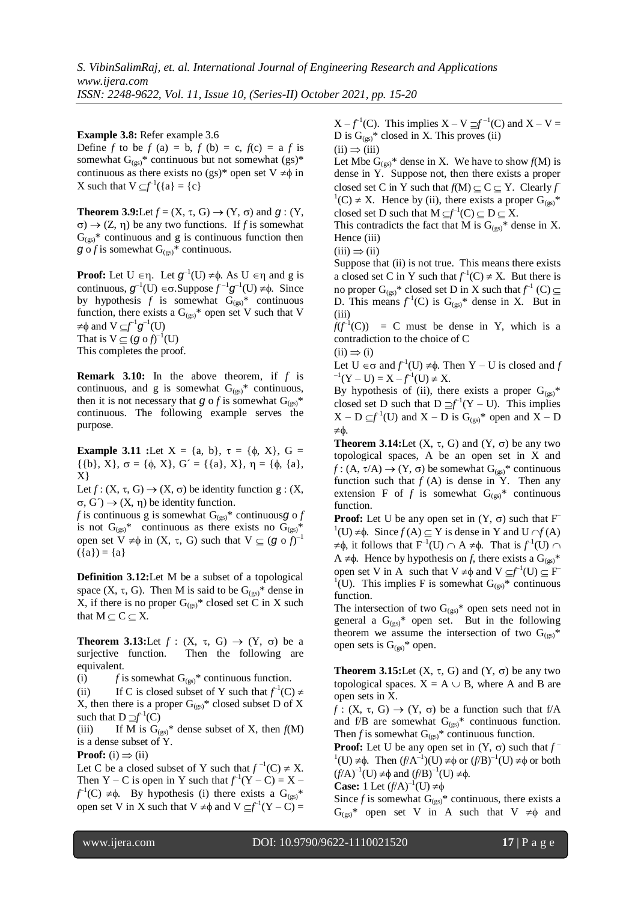**Example 3.8:** Refer example 3.6

Define *f* to be *f* (a) = b, *f* (b) = c,  $f(c) = a$  *f* is somewhat  $G_{(gs)}^*$  continuous but not somewhat  $(gs)^*$ continuous as there exists no (gs)\* open set  $V \neq \phi$  in X such that  $V \subseteq f^{-1}(\{a\} = \{c\})$ 

**Theorem 3.9:**Let  $f = (X, \tau, G) \rightarrow (Y, \sigma)$  and  $g : (Y, \tau, G) \rightarrow (Y, \sigma, G)$  $\sigma$ )  $\rightarrow$  (Z,  $\eta$ ) be any two functions. If *f* is somewhat  $G_{(gs)}^*$  continuous and g is continuous function then  $g \circ f$  is somewhat  $G_{(gs)}^*$  continuous.

**Proof:** Let  $U \in \eta$ . Let  $g^{-1}(U) \neq \phi$ . As  $U \in \eta$  and g is continuous,  $g^{-1}(U) \in \sigma$ . Suppose  $f^{-1}g^{-1}(U) \neq \phi$ . Since by hypothesis  $f$  is somewhat  $G_{(gs)}^*$  continuous function, there exists a  $G_{(gs)}^*$  open set V such that V  $\neq$  $\phi$  and  $V \subseteq f^{-1}g^{-1}(U)$ That is  $V \subseteq (g \circ f)^{-1}(U)$ 

This completes the proof.

**Remark 3.10:** In the above theorem, if *f* is continuous, and g is somewhat  $G_{(gs)}^*$  continuous, then it is not necessary that  $g \circ f$  is somewhat  $G_{(gs)}^*$ continuous. The following example serves the purpose.

**Example 3.11 :**Let  $X = \{a, b\}$ ,  $\tau = \{\phi, X\}$ ,  $G =$  $\{\{\mathfrak{b}\}, X\}, \sigma = \{\phi, X\}, G' = \{\{\mathfrak{a}\}, X\}, \eta = \{\phi, \{\mathfrak{a}\},$ X}

Let  $f: (X, \tau, G) \rightarrow (X, \sigma)$  be identity function  $g: (X, \tau, G)$  $\sigma$ ,  $G'$   $\rightarrow$   $(X, \eta)$  be identity function.

*f* is continuous g is somewhat  $G_{(gs)}^*$  continuousg o *f* is not  $G_{(gs)}^*$  continuous as there exists no  $G_{(gs)}^*$ open set  $V \neq \phi$  in  $(X, \tau, G)$  such that  $V \subseteq (g \circ f)^{-1}$  $({a}) = {a}$ 

**Definition 3.12:**Let M be a subset of a topological space  $(X, \tau, G)$ . Then M is said to be  $G_{(gs)}^*$  dense in X, if there is no proper  $G_{(gs)}^*$  closed set C in X such that  $M \subset C \subset X$ .

**Theorem 3.13:**Let  $f : (X, \tau, G) \rightarrow (Y, \sigma)$  be a surjective function. Then the following are equivalent.

(i)  $f$  is somewhat  $G_{(gs)}^*$  continuous function.

(ii) If C is closed subset of Y such that  $f^{\text{-}1}(C) \neq$ X, then there is a proper  $G_{(gs)}^*$  closed subset D of X such that  $D \supseteq f^{-1}(C)$ 

(iii) If M is  $G_{(gs)}^*$  dense subset of X, then  $f(M)$ is a dense subset of Y.

**Proof:** (i)  $\Rightarrow$  (ii)

Let C be a closed subset of Y such that  $f^{-1}(C) \neq X$ . Then Y – C is open in Y such that  $f^{-1}(Y - C) = X$  $f^{-1}(C) \neq \phi$ . By hypothesis (i) there exists a  $G_{(gs)}^*$ open set V in X such that  $V \neq \phi$  and  $V \subseteq f^{-1}(Y - C) =$ 

 $X - f^{-1}(C)$ . This implies  $X - V \supseteq f^{-1}(C)$  and  $X - V =$ D is  $G_{(gs)}^*$  closed in X. This proves (ii)

 $(ii) \Rightarrow (iii)$ 

Let Mbe  $G_{(gs)}^*$  dense in X. We have to show  $f(M)$  is dense in Y. Suppose not, then there exists a proper closed set C in Y such that  $f(M) \subseteq C \subseteq Y$ . Clearly *f*  ${}^{1}(C) \neq X$ . Hence by (ii), there exists a proper  $G_{(gs)}^*$ closed set D such that  $M \subseteq f^{-1}(C) \subseteq D \subseteq X$ .

This contradicts the fact that M is  $G_{(gs)}^*$  dense in X. Hence (iii)

$$
(iii) \Rightarrow (ii)
$$

Suppose that (ii) is not true. This means there exists a closed set C in Y such that  $f^1(C) \neq X$ . But there is no proper  $G_{(gs)}^*$  closed set D in X such that  $f^{\text{-}1}(C) \subseteq$ D. This means  $f^{-1}(C)$  is  $G_{(gs)}^*$  dense in X. But in (iii)

 $f(f^{-1}(C)) = C$  must be dense in Y, which is a contradiction to the choice of C

 $(ii) \Rightarrow (i)$ 

Let  $U \in \sigma$  and  $f^{-1}(U) \neq \phi$ . Then Y – U is closed and *f*  $-1(Y-U) = X - f^{-1}(U) \neq X.$ 

By hypothesis of (ii), there exists a proper  $G_{(gs)}^*$ closed set D such that  $D \supseteq f^{-1}(Y - U)$ . This implies  $X - D \subseteq f^{-1}(U)$  and  $X - D$  is  $G_{(gs)}^*$  open and  $X - D$  $\pm$   $\phi$ 

**Theorem 3.14:**Let  $(X, \tau, G)$  and  $(Y, \sigma)$  be any two topological spaces, A be an open set in X and  $f: (A, \tau/A) \rightarrow (Y, \sigma)$  be somewhat  $G_{(gs)}^*$  continuous function such that  $f(A)$  is dense in Y. Then any extension F of  $f$  is somewhat  $G_{(gs)}^*$  continuous function.

**Proof:** Let U be any open set in  $(Y, \sigma)$  such that F  $\mathbf{1}^1(\mathbf{U}) \neq \emptyset$ . Since  $f(\mathbf{A}) \subseteq \mathbf{Y}$  is dense in Y and  $\mathbf{U} \cap f(\mathbf{A})$  $\neq \phi$ , it follows that  $F^{-1}(U) \cap A \neq \phi$ . That is  $f^{-1}(U) \cap A$  $A \neq \phi$ . Hence by hypothesis on *f*, there exists a  $G_{(gs)}^*$ open set V in A such that  $V \neq \phi$  and  $V \subseteq f^{-1}(U) \subseteq F$ <sup>1</sup>(U). This implies F is somewhat  $G_{(gs)}^*$  continuous function.

The intersection of two  $G_{(gs)}^*$  open sets need not in general a  $G_{(gs)}^*$  open set. But in the following theorem we assume the intersection of two  $G_{(gs)}^*$ open sets is  $G_{(gs)}^*$  open.

**Theorem 3.15:**Let  $(X, \tau, G)$  and  $(Y, \sigma)$  be any two topological spaces.  $X = A \cup B$ , where A and B are open sets in X.

 $f: (X, \tau, G) \rightarrow (Y, \sigma)$  be a function such that f/A and f/B are somewhat  $G_{(gs)}^*$  continuous function. Then *f* is somewhat  $G_{(gs)}^*$  continuous function.

**Proof:** Let U be any open set in  $(Y, \sigma)$  such that  $f^{-}$  $(1)(U) \neq \phi$ . Then  $(f/A^{-1})(U) \neq \phi$  or  $(f/B)^{-1}(U) \neq \phi$  or both  $(f/A)^{-1}(U) \neq \phi$  and  $(f/B)^{-1}(U) \neq \phi$ .

**Case:** 1 Let  $(f/A)^{-1}(U) \neq \emptyset$ 

Since  $f$  is somewhat  $G_{(gs)}^*$  continuous, there exists a  $G_{(gs)}^*$  open set V in A such that V  $\neq \phi$  and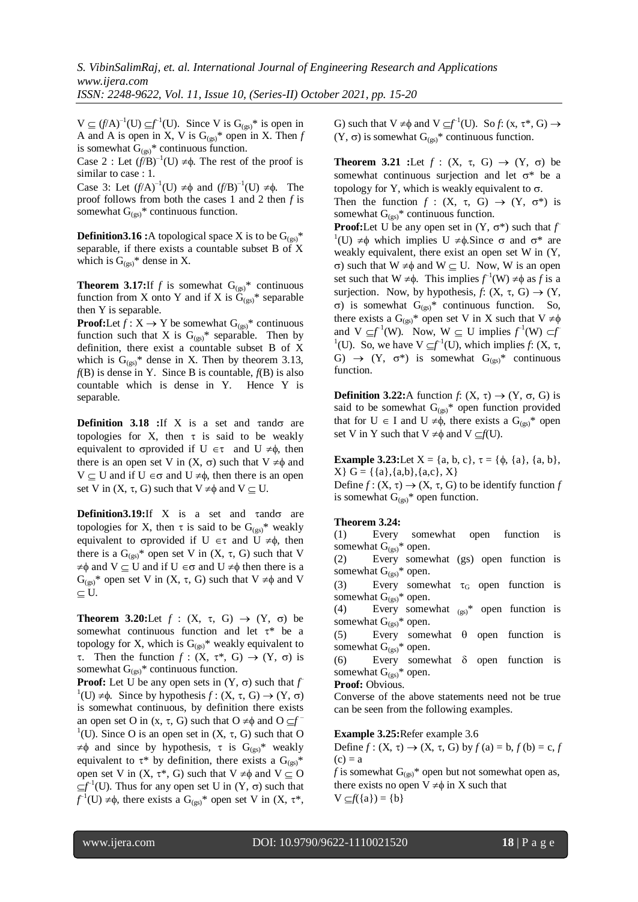$V \subseteq (f/A)^{-1}(U) \subseteq f^{-1}(U)$ . Since V is  $G_{(gs)}^*$  is open in A and A is open in X, V is  $G_{(gs)}^*$  open in X. Then *f* is somewhat  $G_{(gs)}^*$  continuous function.

Case 2 : Let  $(f/B)^{-1}(U) \neq \phi$ . The rest of the proof is similar to case : 1.

Case 3: Let  $(f/A)^{-1}(U) \neq \phi$  and  $(f/B)^{-1}(U) \neq \phi$ . The proof follows from both the cases 1 and 2 then *f* is somewhat  $G_{(gs)}^*$  continuous function.

**Definition3.16 :**A topological space X is to be  $G_{(gs)}^*$ separable, if there exists a countable subset B of X which is  $G_{(gs)}^*$  dense in X.

**Theorem 3.17:**If *f* is somewhat  $G_{(gs)}^*$  continuous function from X onto Y and if X is  $G_{(gs)}^*$  separable then Y is separable.

**Proof:**Let  $f: X \to Y$  be somewhat  $G_{(gs)}^*$  continuous function such that X is  $G_{(gs)}^*$  separable. Then by definition, there exist a countable subset B of X which is  $G_{(gs)}^*$  dense in X. Then by theorem 3.13,  $f(B)$  is dense in Y. Since B is countable,  $f(B)$  is also countable which is dense in Y. Hence Y is separable.

**Definition**  $3.18$  **:**If X is a set and  $\tau$  and  $\sigma$  are topologies for X, then  $\tau$  is said to be weakly equivalent to  $\sigma$ provided if  $U \in \tau$  and  $U \neq \phi$ , then there is an open set V in  $(X, \sigma)$  such that  $V \neq \phi$  and  $V \subseteq U$  and if  $U \in \sigma$  and  $U \neq \phi$ , then there is an open set V in  $(X, \tau, G)$  such that  $V \neq \emptyset$  and  $V \subset U$ .

**Definition3.19:**If X is a set and  $\tau$  and  $\sigma$  are topologies for X, then  $\tau$  is said to be  $G_{(gs)}^*$  weakly equivalent to oprovided if  $U \in \tau$  and  $U \neq \phi$ , then there is a  $G_{(gs)}^*$  open set V in  $(X, \tau, G)$  such that V  $\neq \phi$  and  $V \subseteq U$  and if  $U \in \sigma$  and  $U \neq \phi$  then there is a  $G_{(gs)}^*$  open set V in  $(X, \tau, G)$  such that  $V \neq \phi$  and V  $\subseteq U$ .

**Theorem 3.20:**Let  $f : (X, \tau, G) \rightarrow (Y, \sigma)$  be somewhat continuous function and let  $\tau^*$  be a topology for X, which is  $G_{(gs)}^*$  weakly equivalent to  $\tau$ . Then the function  $f : (X, \tau^*, G) \to (Y, \sigma)$  is somewhat  $G_{(gs)}^*$  continuous function.

**Proof:** Let U be any open sets in  $(Y, \sigma)$  such that  $f$  $f^1(U) \neq \emptyset$ . Since by hypothesis  $f : (X, \tau, G) \to (Y, \sigma)$ is somewhat continuous, by definition there exists an open set O in  $(x, \tau, G)$  such that  $O \neq \emptyset$  and  $O \subseteq f$ <sup>1</sup>(U). Since O is an open set in  $(X, \tau, G)$  such that O  $\neq \phi$  and since by hypothesis,  $\tau$  is  $G_{(gs)}^*$  weakly equivalent to  $\tau^*$  by definition, there exists a  $G_{(gs)}^*$ open set V in  $(X, \tau^*, G)$  such that  $V \neq \emptyset$  and  $V \subseteq O$  $\subseteq f^{-1}(U)$ . Thus for any open set U in  $(Y, \sigma)$  such that  $f^{-1}(U) \neq \phi$ , there exists a  $G_{(gs)}^*$  open set V in  $(X, \tau^*)$ ,

G) such that  $V \neq \phi$  and  $V \subseteq f^{-1}(U)$ . So *f*: (x,  $\tau^*$ , G)  $\rightarrow$  $(Y, \sigma)$  is somewhat  $G_{(gs)}^*$  continuous function.

**Theorem 3.21 :**Let  $f : (X, \tau, G) \rightarrow (Y, \sigma)$  be somewhat continuous surjection and let  $\sigma^*$  be a topology for Y, which is weakly equivalent to  $\sigma$ .

Then the function  $f : (X, \tau, G) \rightarrow (Y, \sigma^*)$  is somewhat  $G_{(gs)}^*$  continuous function.

**Proof:**Let U be any open set in  $(Y, \sigma^*)$  such that  $f$  $^1$ (U)  $\neq \phi$  which implies U  $\neq \phi$ . Since  $\sigma$  and  $\sigma^*$  are weakly equivalent, there exist an open set W in (Y,  $\sigma$ ) such that W  $\neq \phi$  and W  $\subseteq$  U. Now, W is an open set such that  $W \neq \phi$ . This implies  $f^{-1}(W) \neq \phi$  as *f* is a surjection. Now, by hypothesis,  $f: (X, \tau, G) \rightarrow (Y,$  $\sigma$ ) is somewhat  $G_{(gs)}^*$  continuous function. So, there exists a  $G_{(gs)}^*$  open set V in X such that  $V \neq \phi$ and  $V \subseteq f^{\perp}(W)$ . Now,  $W \subseteq U$  implies  $f^{\perp}(W) \subset f$ <sup>1</sup>(U). So, we have  $V \subseteq f^{-1}(U)$ , which implies *f*: (X,  $\tau$ , G)  $\rightarrow$  (Y,  $\sigma^*$ ) is somewhat  $G_{(gs)}^*$  continuous function.

**Definition 3.22:**A function *f*: (X,  $\tau$ )  $\rightarrow$  (Y,  $\sigma$ , G) is said to be somewhat  $G_{(gs)}^*$  open function provided that for  $U \in I$  and  $U \neq \phi$ , there exists a  $G_{(gs)}^*$  open set V in Y such that  $V \neq \phi$  and  $V \subseteq f(U)$ .

**Example 3.23:**Let  $X = \{a, b, c\}, \tau = \{\phi, \{a\}, \{a, b\},\}$  $X} G = \{\{a\}, \{a,b\}, \{a,c\}, X\}$ 

Define  $f: (X, \tau) \to (X, \tau, G)$  to be identify function *f* is somewhat  $G_{(gs)}^*$  open function.

## **Theorem 3.24:**

(1) Every somewhat open function is somewhat  $G_{(gs)}^*$  open.

(2) Every somewhat (gs) open function is somewhat  $G_{(gs)}^*$  open.

(3) Every somewhat  $\tau_G$  open function is somewhat  $G_{(gs)}$ <sup>\*</sup> open.

(4) Every somewhat  $_{(gs)}^*$  open function is somewhat  $G_{(gs)}^*$  open.

(5) Every somewhat  $\theta$  open function is somewhat  $G_{(gs)}^*$  open.

(6) Every somewhat  $\delta$  open function is somewhat  $G_{(gs)}^*$  open.

#### **Proof:** Obvious.

Converse of the above statements need not be true can be seen from the following examples.

**Example 3.25:**Refer example 3.6

Define  $f : (X, \tau) \rightarrow (X, \tau, G)$  by  $f(a) = b, f(b) = c, f$  $(c) = a$ 

*f* is somewhat  $G_{(gs)}$ <sup>\*</sup> open but not somewhat open as, there exists no open  $V \neq \phi$  in X such that  $V \subseteq f({a}) = {b}$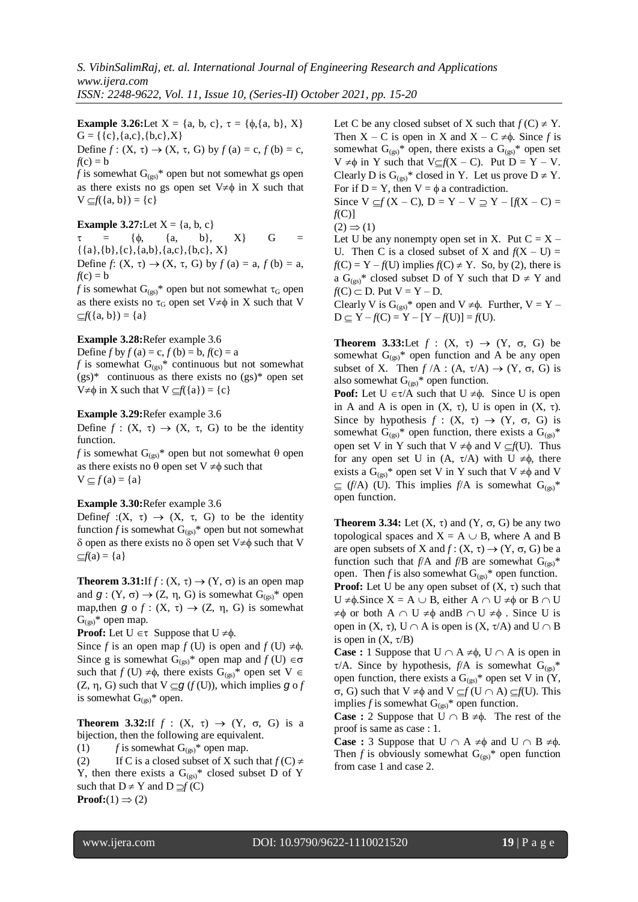**Example 3.26:**Let  $X = \{a, b, c\}, \tau = \{\phi, \{a, b\}, X\}$  $G = \{\{c\}, \{a,c\}, \{b,c\}, X\}$ Define  $f: (X, \tau) \rightarrow (X, \tau, G)$  by  $f(a) = c, f(b) = c$ ,

 $f(c) = b$ *f* is somewhat  $G_{(gs)}^*$  open but not somewhat gs open as there exists no gs open set  $V \neq \phi$  in X such that  $V \subseteq f({a, b}) = {c}$ 

#### **Example 3.27:**Let  $X = \{a, b, c\}$

 $\tau = {\phi, \{a, b\}, \{X\}}$  G =  $\{\{a\},\{b\},\{c\},\{a,b\},\{a,c\},\{b,c\},\,X\}$ Define *f*:  $(X, \tau) \rightarrow (X, \tau, G)$  by  $f(a) = a, f(b) = a$ ,  $f(c) = b$ 

*f* is somewhat  $G_{(gs)}^*$  open but not somewhat  $\tau_G$  open as there exists no  $\tau$ <sup>G</sup> open set  $V \neq \phi$  in X such that V  $\subset f({a, b}) = {a}$ 

## **Example 3.28:**Refer example 3.6

Define  $f$  by  $f$  (a) = c,  $f$  (b) = b,  $f$  (c) = a *f* is somewhat  $G_{(gs)}^*$  continuous but not somewhat  $(gs)$ <sup>\*</sup> continuous as there exists no  $(gs)$ <sup>\*</sup> open set  $V \neq \phi$  in X such that  $V \subseteq f({a}) = {c}$ 

#### **Example 3.29:**Refer example 3.6

Define  $f : (X, \tau) \to (X, \tau, G)$  to be the identity function.

*f* is somewhat  $G_{(gs)}^*$  open but not somewhat  $\theta$  open as there exists no  $\theta$  open set  $V \neq \phi$  such that  $V \subseteq f (a) = \{a\}$ 

#### **Example 3.30:**Refer example 3.6

Definef :(X,  $\tau$ )  $\rightarrow$  (X,  $\tau$ , G) to be the identity function *f* is somewhat  $G_{(gs)}^*$  open but not somewhat  $\delta$  open as there exists no  $\delta$  open set V $\neq \phi$  such that V  $\subseteq f(a) = \{a\}$ 

**Theorem 3.31:**If  $f : (X, \tau) \rightarrow (Y, \sigma)$  is an open map and  $g: (Y, \sigma) \rightarrow (Z, \eta, G)$  is somewhat  $G_{(gs)}^*$  open map, then  $g \circ f : (X, \tau) \to (Z, \eta, G)$  is somewhat  $G_{(gs)}^*$  open map.

**Proof:** Let  $U \in \tau$  Suppose that  $U \neq \phi$ .

Since *f* is an open map *f* (U) is open and *f* (U)  $\neq \phi$ . Since g is somewhat  $G_{(gs)}^*$  open map and  $f(U) \in \sigma$ such that  $f(U) \neq \phi$ , there exists  $G_{(gs)}^*$  open set  $V \in$  $(Z, \eta, G)$  such that  $V \subseteq g(f(U))$ , which implies  $g \circ f$ is somewhat  $G_{(gs)}^*$  open.

**Theorem 3.32:**If  $f : (X, \tau) \rightarrow (Y, \sigma, G)$  is a bijection, then the following are equivalent.

(1)  $f$  is somewhat  $G_{(gs)}^*$  open map.

(2) If C is a closed subset of X such that  $f(C) \neq$ Y, then there exists a  $G_{(gs)}^*$  closed subset D of Y such that  $D \neq Y$  and  $D \supseteq f(C)$ **Proof:**(1)  $\Rightarrow$  (2)

Let C be any closed subset of X such that  $f(C) \neq Y$ . Then  $X - C$  is open in X and  $X - C \neq \emptyset$ . Since f is somewhat  $G_{(gs)}^*$  open, there exists a  $G_{(gs)}^*$  open set  $V \neq \phi$  in Y such that  $V \subseteq f(X - C)$ . Put  $D = Y - V$ . Clearly D is  $G_{(gs)}^*$  closed in Y. Let us prove  $D \neq Y$ . For if  $D = Y$ , then  $V = \phi$  a contradiction.

Since  $V \subseteq f (X - C)$ ,  $D = Y - V \supseteq Y - [f(X - C)]$ *f*(C)]

 $(2) \Rightarrow (1)$ 

Let U be any nonempty open set in X. Put  $C = X -$ U. Then C is a closed subset of X and  $f(X - U) =$  $f(C) = Y - f(U)$  implies  $f(C) \neq Y$ . So, by (2), there is a  $G_{(gs)}^*$  closed subset D of Y such that  $D \neq Y$  and  $f(C) \subset D$ . Put  $V = Y - D$ .

Clearly V is  $G_{(gs)}^*$  open and  $V \neq \phi$ . Further,  $V = Y D \subseteq Y - f(C) = Y - [Y - f(U)] = f(U).$ 

**Theorem 3.33:**Let  $f : (X, \tau) \rightarrow (Y, \sigma, G)$  be somewhat  $G_{(gs)}^*$  open function and A be any open subset of X. Then  $f/A : (A, \tau/A) \rightarrow (Y, \sigma, G)$  is also somewhat  $G_{(gs)}^*$  open function.

**Poof:** Let  $U \in \tau/A$  such that  $U \neq \phi$ . Since U is open in A and A is open in  $(X, \tau)$ , U is open in  $(X, \tau)$ . Since by hypothesis  $f : (X, \tau) \rightarrow (Y, \sigma, G)$  is somewhat  $G_{(gs)}^*$  open function, there exists a  $G_{(gs)}^*$ open set V in Y such that  $V \neq \phi$  and  $V \subseteq f(U)$ . Thus for any open set U in  $(A, \tau/A)$  with U  $\neq \phi$ , there exists a  $G_{(gs)}^*$  open set V in Y such that  $V \neq \phi$  and V  $\subseteq$  (*f*/A) (U). This implies *f*/A is somewhat  $G_{(gs)}^*$ open function.

**Theorem 3.34:** Let  $(X, \tau)$  and  $(Y, \sigma, G)$  be any two topological spaces and  $X = A \cup B$ , where A and B are open subsets of X and  $f: (X, \tau) \rightarrow (Y, \sigma, G)$  be a function such that  $f/A$  and  $f/B$  are somewhat  $G_{(gs)}^*$ open. Then *f* is also somewhat  $G_{(gs)}^*$  open function.

**Proof:** Let U be any open subset of  $(X, \tau)$  such that  $U \neq \phi$ . Since  $X = A \cup B$ , either  $A \cap U \neq \phi$  or  $B \cap U$  $\neq \phi$  or both A  $\cap$  U  $\neq \phi$  andB  $\cap$  U  $\neq \phi$ . Since U is open in  $(X, \tau)$ ,  $U \cap A$  is open is  $(X, \tau/A)$  and  $U \cap B$ is open in  $(X, \tau/B)$ 

**Case :** 1 Suppose that  $U \cap A \neq \emptyset$ ,  $U \cap A$  is open in  $\tau$ /A. Since by hypothesis,  $f/A$  is somewhat  $G_{(gs)}^*$ open function, there exists a  $G_{(gs)}^*$  open set V in (Y,  $\sigma$ , G) such that V  $\neq \phi$  and V  $\subseteq f(U \cap A) \subseteq f(U)$ . This implies *f* is somewhat  $G_{(gs)}^*$  open function.

**Case :** 2 Suppose that  $U \cap B \neq \emptyset$ . The rest of the proof is same as case : 1.

**Case :** 3 Suppose that  $U \cap A \neq \emptyset$  and  $U \cap B \neq \emptyset$ . Then *f* is obviously somewhat  $G_{(gs)}^*$  open function from case 1 and case 2.